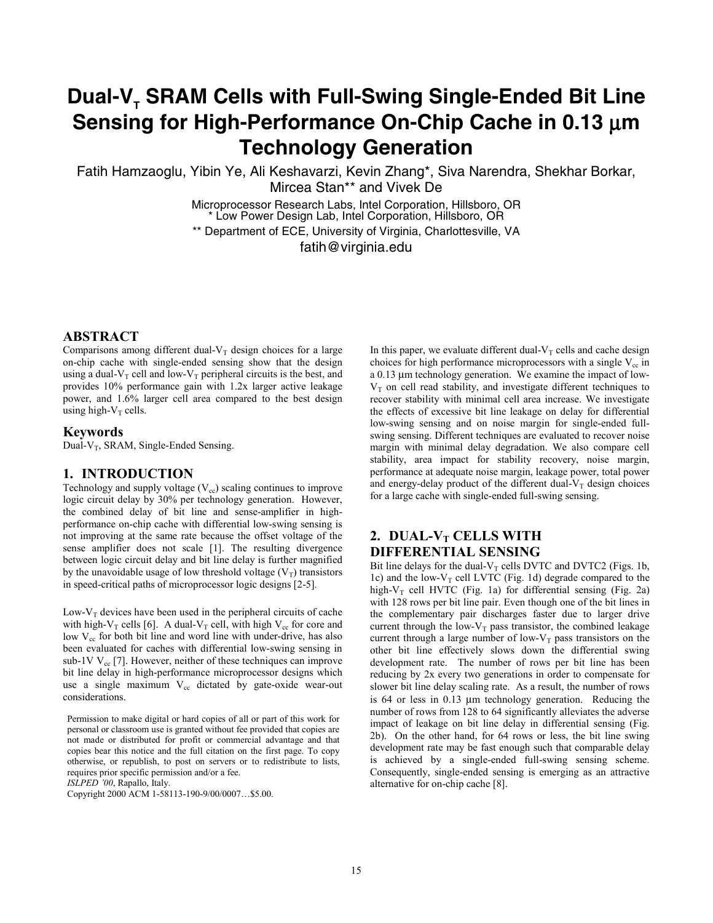# Dual-V<sub>-</sub> SRAM Cells with Full-Swing Single-Ended Bit Line **Sensing for High-Performance On-Chip Cache in 0.13** µ**m Technology Generation**

Fatih Hamzaoglu, Yibin Ye, Ali Keshavarzi, Kevin Zhang\*, Siva Narendra, Shekhar Borkar, Mircea Stan\*\* and Vivek De

> Microprocessor Research Labs, Intel Corporation, Hillsboro, OR \* Low Power Design Lab, Intel Corporation, Hillsboro, OR \*\* Department of ECE, University of Virginia, Charlottesville, VA fatih@virginia.edu

## **ABSTRACT**

Comparisons among different dual- $V_T$  design choices for a large on-chip cache with single-ended sensing show that the design using a dual- $V_T$  cell and low- $V_T$  peripheral circuits is the best, and provides 10% performance gain with 1.2x larger active leakage power, and 1.6% larger cell area compared to the best design using high- $V_T$  cells.

#### **Keywords**

Dual- $V_T$ , SRAM, Single-Ended Sensing.

## **1. INTRODUCTION**

Technology and supply voltage  $(V_{cc})$  scaling continues to improve logic circuit delay by 30% per technology generation. However, the combined delay of bit line and sense-amplifier in highperformance on-chip cache with differential low-swing sensing is not improving at the same rate because the offset voltage of the sense amplifier does not scale [1]. The resulting divergence between logic circuit delay and bit line delay is further magnified by the unavoidable usage of low threshold voltage  $(V_T)$  transistors in speed-critical paths of microprocessor logic designs [2-5]*.* 

Low- $V<sub>T</sub>$  devices have been used in the peripheral circuits of cache with high-V<sub>T</sub> cells [6]. A dual-V<sub>T</sub> cell, with high V<sub>cc</sub> for core and low  $V_{cc}$  for both bit line and word line with under-drive, has also been evaluated for caches with differential low-swing sensing in sub-1V  $V_{cc}$  [7]. However, neither of these techniques can improve bit line delay in high-performance microprocessor designs which use a single maximum  $V_{cc}$  dictated by gate-oxide wear-out considerations.

Permission to make digital or hard copies of all or part of this work for personal or classroom use is granted without fee provided that copies are not made or distributed for profit or commercial advantage and that copies bear this notice and the full citation on the first page. To copy otherwise, or republish, to post on servers or to redistribute to lists, requires prior specific permission and/or a fee.

*ISLPED '00*, Rapallo, Italy.

Copyright 2000 ACM 1-58113-190-9/00/0007…\$5.00.

In this paper, we evaluate different dual- $V_T$  cells and cache design choices for high performance microprocessors with a single  $V_{cc}$  in a 0.13 µm technology generation. We examine the impact of low- $V<sub>T</sub>$  on cell read stability, and investigate different techniques to recover stability with minimal cell area increase. We investigate the effects of excessive bit line leakage on delay for differential low-swing sensing and on noise margin for single-ended fullswing sensing. Different techniques are evaluated to recover noise margin with minimal delay degradation. We also compare cell stability, area impact for stability recovery, noise margin, performance at adequate noise margin, leakage power, total power and energy-delay product of the different dual- $V_T$  design choices for a large cache with single-ended full-swing sensing.

# 2. DUAL-V<sub>T</sub> CELLS WITH **DIFFERENTIAL SENSING**

Bit line delays for the dual- $V_T$  cells DVTC and DVTC2 (Figs. 1b, 1c) and the low- $V_T$  cell LVTC (Fig. 1d) degrade compared to the high- $V_T$  cell HVTC (Fig. 1a) for differential sensing (Fig. 2a) with 128 rows per bit line pair. Even though one of the bit lines in the complementary pair discharges faster due to larger drive current through the low- $V_T$  pass transistor, the combined leakage current through a large number of low- $V_T$  pass transistors on the other bit line effectively slows down the differential swing development rate. The number of rows per bit line has been reducing by 2x every two generations in order to compensate for slower bit line delay scaling rate. As a result, the number of rows is 64 or less in 0.13 µm technology generation. Reducing the number of rows from 128 to 64 significantly alleviates the adverse impact of leakage on bit line delay in differential sensing (Fig. 2b). On the other hand, for 64 rows or less, the bit line swing development rate may be fast enough such that comparable delay is achieved by a single-ended full-swing sensing scheme. Consequently, single-ended sensing is emerging as an attractive alternative for on-chip cache [8].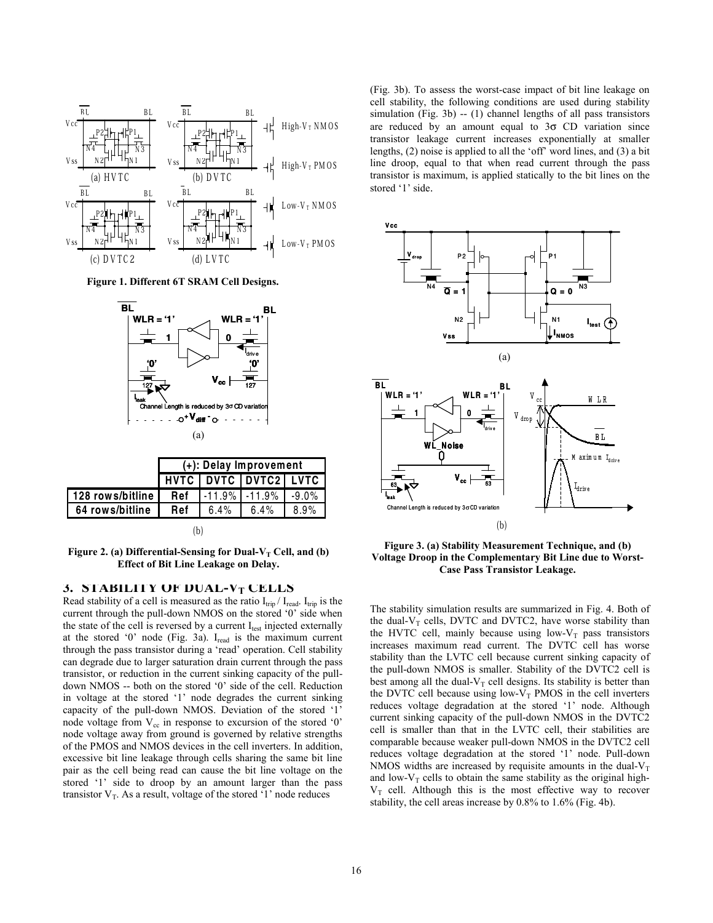

**Figure 1. Different 6T SRAM Cell Designs.** 



|                  |     |              | HVTC DVTC DVTC2 LVTC       |      |
|------------------|-----|--------------|----------------------------|------|
| 128 rows/bitline |     |              | Ref  -11.9%  -11.9%  -9.0% |      |
| 64 rows/bitline  | Ref | $6.4\%$ 6.4% |                            | 8.9% |
|                  | b   |              |                            |      |

Figure 2. (a) Differential-Sensing for Dual-V<sub>T</sub> Cell, and (b) **Effect of Bit Line Leakage on Delay.** 

#### **3. STABILITY OF DUAL-VT CELLS**

Read stability of a cell is measured as the ratio  $I_{trip} / I_{read}$ . I<sub>trip</sub> is the current through the pull-down NMOS on the stored '0' side when the state of the cell is reversed by a current  $I_{test}$  injected externally at the stored '0' node (Fig. 3a). Iread is the maximum current through the pass transistor during a 'read' operation. Cell stability can degrade due to larger saturation drain current through the pass transistor, or reduction in the current sinking capacity of the pulldown NMOS -- both on the stored '0' side of the cell. Reduction in voltage at the stored '1' node degrades the current sinking capacity of the pull-down NMOS. Deviation of the stored '1' node voltage from  $V_{cc}$  in response to excursion of the stored '0' node voltage away from ground is governed by relative strengths of the PMOS and NMOS devices in the cell inverters. In addition, excessive bit line leakage through cells sharing the same bit line pair as the cell being read can cause the bit line voltage on the stored '1' side to droop by an amount larger than the pass transistor  $V_T$ . As a result, voltage of the stored '1' node reduces

(Fig. 3b). To assess the worst-case impact of bit line leakage on cell stability, the following conditions are used during stability simulation (Fig. 3b) -- (1) channel lengths of all pass transistors are reduced by an amount equal to  $3\sigma$  CD variation since transistor leakage current increases exponentially at smaller lengths, (2) noise is applied to all the 'off' word lines, and (3) a bit line droop, equal to that when read current through the pass transistor is maximum, is applied statically to the bit lines on the stored '1' side.



**Figure 3. (a) Stability Measurement Technique, and (b) Voltage Droop in the Complementary Bit Line due to Worst-Case Pass Transistor Leakage.** 

The stability simulation results are summarized in Fig. 4. Both of the dual- $V_T$  cells, DVTC and DVTC2, have worse stability than the HVTC cell, mainly because using low- $V_T$  pass transistors increases maximum read current. The DVTC cell has worse stability than the LVTC cell because current sinking capacity of the pull-down NMOS is smaller. Stability of the DVTC2 cell is best among all the dual- $V_T$  cell designs. Its stability is better than the DVTC cell because using low- $V_T$  PMOS in the cell inverters reduces voltage degradation at the stored '1' node. Although current sinking capacity of the pull-down NMOS in the DVTC2 cell is smaller than that in the LVTC cell, their stabilities are comparable because weaker pull-down NMOS in the DVTC2 cell reduces voltage degradation at the stored '1' node. Pull-down NMOS widths are increased by requisite amounts in the dual- $V_T$ and low- $V_T$  cells to obtain the same stability as the original high- $V_T$  cell. Although this is the most effective way to recover stability, the cell areas increase by 0.8% to 1.6% (Fig. 4b).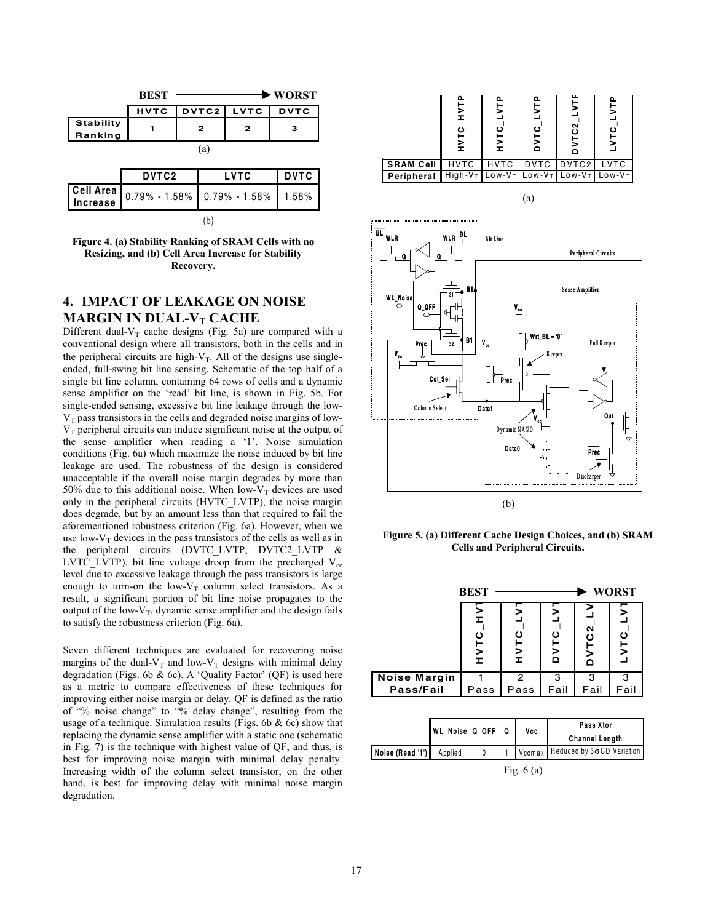|                             | <b>REST</b> |                 |   | • WORST     |
|-----------------------------|-------------|-----------------|---|-------------|
|                             |             | HVTC DVTC2 LVTC |   | <b>DVTC</b> |
| <b>Stability</b><br>Ranking |             | 2               | 2 | з           |
|                             |             | a               |   |             |

| DVTC <sub>2</sub> | <b>LVTC</b>                                 | <b>DVTC</b> |
|-------------------|---------------------------------------------|-------------|
|                   | Cell Area 0.79% - 1.58% 0.79% - 1.58% 1.58% |             |
|                   |                                             |             |

#### **Figure 4. (a) Stability Ranking of SRAM Cells with no Resizing, and (b) Cell Area Increase for Stability Recovery.**

# **4. IMPACT OF LEAKAGE ON NOISE MARGIN IN DUAL-V<sub>T</sub> CACHE**

Different dual- $V_T$  cache designs (Fig. 5a) are compared with a conventional design where all transistors, both in the cells and in the peripheral circuits are high- $V_T$ . All of the designs use singleended, full-swing bit line sensing. Schematic of the top half of a single bit line column, containing 64 rows of cells and a dynamic sense amplifier on the 'read' bit line, is shown in Fig. 5b. For single-ended sensing, excessive bit line leakage through the low- $V<sub>T</sub>$  pass transistors in the cells and degraded noise margins of low- $V<sub>T</sub>$  peripheral circuits can induce significant noise at the output of the sense amplifier when reading a '1'. Noise simulation conditions (Fig. 6a) which maximize the noise induced by bit line leakage are used. The robustness of the design is considered unacceptable if the overall noise margin degrades by more than 50% due to this additional noise. When low- $V<sub>T</sub>$  devices are used only in the peripheral circuits (HVTC\_LVTP), the noise margin does degrade, but by an amount less than that required to fail the aforementioned robustness criterion (Fig. 6a). However, when we use low-V<sub>T</sub> devices in the pass transistors of the cells as well as in<br>the peripheral circuits (DVTC LVTP DVTC2 LVTP  $\&$ peripheral circuits (DVTC LVTP, DVTC2 LVTP  $\&$ LVTC LVTP), bit line voltage droop from the precharged  $V_{cc}$ level due to excessive leakage through the pass transistors is large enough to turn-on the low- $V_T$  column select transistors. As a result, a significant portion of bit line noise propagates to the output of the low- $V_T$ , dynamic sense amplifier and the design fails to satisfy the robustness criterion (Fig. 6a).

Seven different techniques are evaluated for recovering noise margins of the dual- $V_T$  and low- $V_T$  designs with minimal delay degradation (Figs. 6b & 6c). A 'Quality Factor' (QF) is used here as a metric to compare effectiveness of these techniques for improving either noise margin or delay. QF is defined as the ratio of "% noise change" to "% delay change", resulting from the usage of a technique. Simulation results (Figs. 6b  $\&$  6c) show that replacing the dynamic sense amplifier with a static one (schematic in Fig. 7) is the technique with highest value of QF, and thus, is best for improving noise margin with minimal delay penalty. Increasing width of the column select transistor, on the other hand, is best for improving delay with minimal noise margin degradation.



**Figure 5. (a) Different Cache Design Choices, and (b) SRAM Cells and Peripheral Circuits.** 

|                     | <b>BEST</b>          |                 |          |                           | <b>WORST</b> |
|---------------------|----------------------|-----------------|----------|---------------------------|--------------|
|                     | I<br>o<br>ั≽<br>่่ ± | ပ<br><b>TAH</b> | ပ<br>DVT | TC <sub>2</sub><br>.<br>۵ | 5            |
| <b>Noise Margin</b> |                      | 2               | з        | з                         | з            |
| Pass/Fail           | Pass                 | Pass            | Fail     | Fail                      | Fail         |

|                          | WL_Noise Q_OFF Q |  | Vcc         | <b>Pass Xtor</b><br><b>Channel Length</b> |
|--------------------------|------------------|--|-------------|-------------------------------------------|
| Noise (Read '1') Applied |                  |  |             | Vccmax Reduced by 3o CD Variation         |
|                          |                  |  | Fig. $6(a)$ |                                           |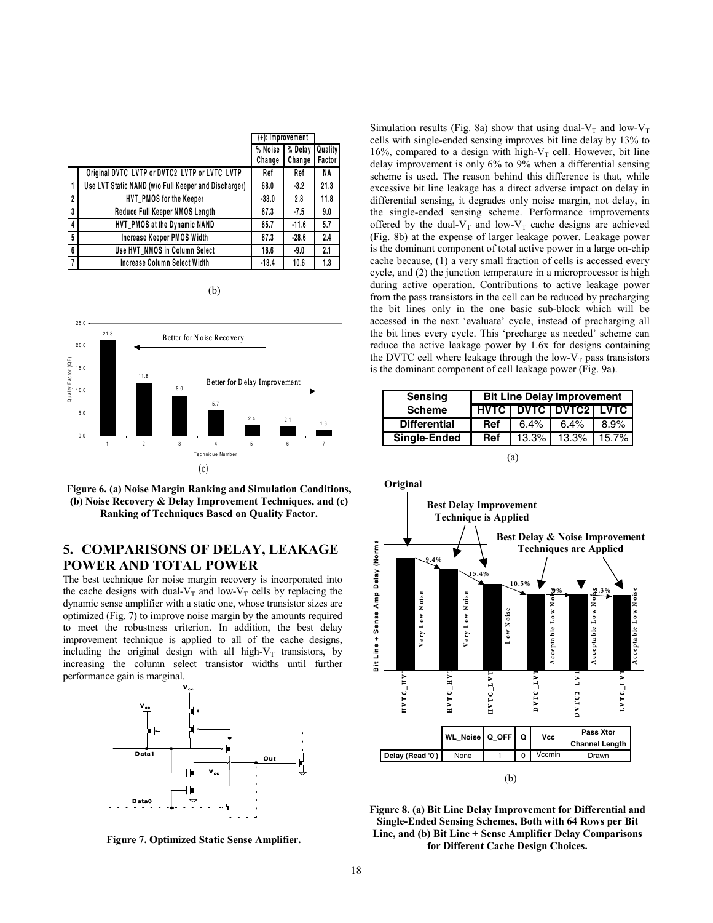|              |                                                      |         | (+): Improvement |         |
|--------------|------------------------------------------------------|---------|------------------|---------|
|              |                                                      | % Noise | % Delay          | Quality |
|              |                                                      | Change  | Change           | Factor  |
|              | Original DVTC_LVTP or DVTC2_LVTP or LVTC_LVTP        | Ref     | Ref              | NA      |
|              | Use LVT Static NAND (w/o Full Keeper and Discharger) | 68.0    | $-3.2$           | 21.3    |
| $\mathbf{2}$ | HVT PMOS for the Keeper                              | $-33.0$ | 2.8              | 11.8    |
| 3            | Reduce Full Keeper NMOS Length                       | 67.3    | $-7.5$           | 9.0     |
| 4            | HVT_PMOS at the Dynamic NAND                         | 65.7    | $-11.6$          | 5.7     |
| 5            | Increase Keeper PMOS Width                           | 67.3    | $-28.6$          | 2.4     |
| 6            | Use HVT NMOS in Column Select                        | 18.6    | $-9.0$           | 2.1     |
| 7            | Increase Column Select Width                         | $-13.4$ | 10.6             | 1.3     |

(b)



**Figure 6. (a) Noise Margin Ranking and Simulation Conditions, (b) Noise Recovery & Delay Improvement Techniques, and (c) Ranking of Techniques Based on Quality Factor.** 

# **5. COMPARISONS OF DELAY, LEAKAGE POWER AND TOTAL POWER**

The best technique for noise margin recovery is incorporated into the cache designs with dual- $V_T$  and low- $V_T$  cells by replacing the dynamic sense amplifier with a static one, whose transistor sizes are optimized (Fig. 7) to improve noise margin by the amounts required to meet the robustness criterion. In addition, the best delay improvement technique is applied to all of the cache designs, including the original design with all high- $V_T$  transistors, by increasing the column select transistor widths until further performance gain is marginal.



**Figure 7. Optimized Static Sense Amplifier.** 

Simulation results (Fig. 8a) show that using dual- $V_T$  and low- $V_T$ cells with single-ended sensing improves bit line delay by 13% to 16%, compared to a design with high- $V_T$  cell. However, bit line delay improvement is only 6% to 9% when a differential sensing scheme is used. The reason behind this difference is that, while excessive bit line leakage has a direct adverse impact on delay in differential sensing, it degrades only noise margin, not delay, in the single-ended sensing scheme. Performance improvements offered by the dual- $V_T$  and low- $V_T$  cache designs are achieved (Fig. 8b) at the expense of larger leakage power. Leakage power is the dominant component of total active power in a large on-chip cache because, (1) a very small fraction of cells is accessed every cycle, and (2) the junction temperature in a microprocessor is high during active operation. Contributions to active leakage power from the pass transistors in the cell can be reduced by precharging the bit lines only in the one basic sub-block which will be accessed in the next 'evaluate' cycle, instead of precharging all the bit lines every cycle. This 'precharge as needed' scheme can reduce the active leakage power by 1.6x for designs containing the DVTC cell where leakage through the low- $V_T$  pass transistors is the dominant component of cell leakage power (Fig. 9a).

| <b>Sensing</b>      |            |          | <b>Bit Line Delay Improvement</b> |       |
|---------------------|------------|----------|-----------------------------------|-------|
| <b>Scheme</b>       |            |          | <b>HVTC   DVTC   DVTC2   LVTC</b> |       |
| <b>Differential</b> | Ref        | $6.4\%$  | 6.4%                              | 8.9%  |
| Single-Ended        | <b>Ref</b> | $13.3\%$ | 13.3%                             | 15.7% |
|                     |            | ta)      |                                   |       |



**Figure 8. (a) Bit Line Delay Improvement for Differential and Single-Ended Sensing Schemes, Both with 64 Rows per Bit Line, and (b) Bit Line + Sense Amplifier Delay Comparisons for Different Cache Design Choices.**